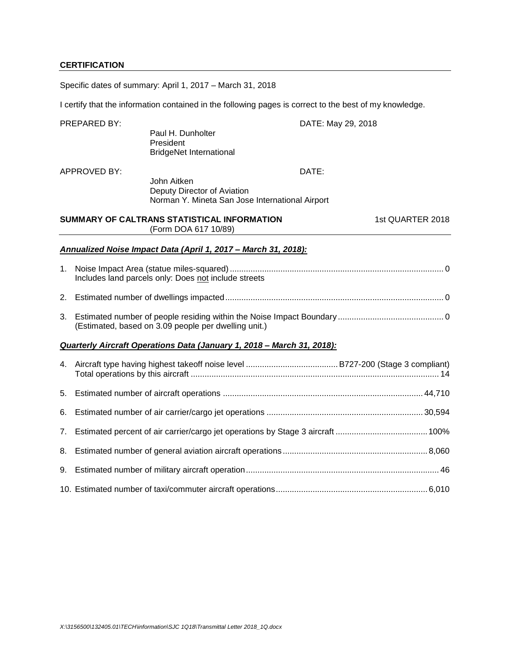# **CERTIFICATION**

Specific dates of summary: April 1, 2017 – March 31, 2018

I certify that the information contained in the following pages is correct to the best of my knowledge.

|    | PREPARED BY:        | Paul H. Dunholter<br>President<br><b>BridgeNet International</b>                              | DATE: May 29, 2018 |                  |
|----|---------------------|-----------------------------------------------------------------------------------------------|--------------------|------------------|
|    | <b>APPROVED BY:</b> | John Aitken<br>Deputy Director of Aviation<br>Norman Y. Mineta San Jose International Airport | DATE:              |                  |
|    |                     | SUMMARY OF CALTRANS STATISTICAL INFORMATION<br>(Form DOA 617 10/89)                           |                    | 1st QUARTER 2018 |
|    |                     | Annualized Noise Impact Data (April 1, 2017 - March 31, 2018):                                |                    |                  |
| 1. |                     | Includes land parcels only: Does not include streets                                          |                    |                  |
|    |                     |                                                                                               |                    |                  |
| 3. |                     | (Estimated, based on 3.09 people per dwelling unit.)                                          |                    |                  |
|    |                     | Quarterly Aircraft Operations Data (January 1, 2018 - March 31, 2018):                        |                    |                  |
|    |                     |                                                                                               |                    |                  |
| 5. |                     |                                                                                               |                    |                  |
| 6. |                     |                                                                                               |                    |                  |
| 7. |                     |                                                                                               |                    |                  |
| 8. |                     |                                                                                               |                    |                  |
| 9. |                     |                                                                                               |                    |                  |
|    |                     |                                                                                               |                    |                  |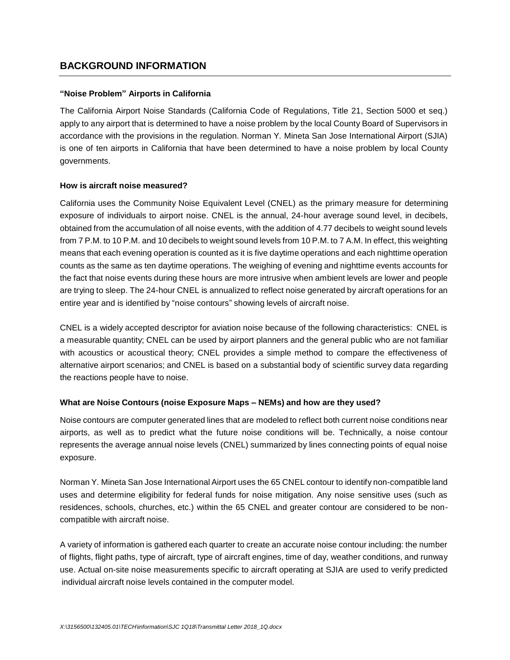## **BACKGROUND INFORMATION**

### **"Noise Problem" Airports in California**

The California Airport Noise Standards (California Code of Regulations, Title 21, Section 5000 et seq.) apply to any airport that is determined to have a noise problem by the local County Board of Supervisors in accordance with the provisions in the regulation. Norman Y. Mineta San Jose International Airport (SJIA) is one of ten airports in California that have been determined to have a noise problem by local County governments.

### **How is aircraft noise measured?**

California uses the Community Noise Equivalent Level (CNEL) as the primary measure for determining exposure of individuals to airport noise. CNEL is the annual, 24-hour average sound level, in decibels, obtained from the accumulation of all noise events, with the addition of 4.77 decibels to weight sound levels from 7 P.M. to 10 P.M. and 10 decibels to weight sound levels from 10 P.M. to 7 A.M. In effect, this weighting means that each evening operation is counted as it is five daytime operations and each nighttime operation counts as the same as ten daytime operations. The weighing of evening and nighttime events accounts for the fact that noise events during these hours are more intrusive when ambient levels are lower and people are trying to sleep. The 24-hour CNEL is annualized to reflect noise generated by aircraft operations for an entire year and is identified by "noise contours" showing levels of aircraft noise.

CNEL is a widely accepted descriptor for aviation noise because of the following characteristics: CNEL is a measurable quantity; CNEL can be used by airport planners and the general public who are not familiar with acoustics or acoustical theory; CNEL provides a simple method to compare the effectiveness of alternative airport scenarios; and CNEL is based on a substantial body of scientific survey data regarding the reactions people have to noise.

### **What are Noise Contours (noise Exposure Maps – NEMs) and how are they used?**

Noise contours are computer generated lines that are modeled to reflect both current noise conditions near airports, as well as to predict what the future noise conditions will be. Technically, a noise contour represents the average annual noise levels (CNEL) summarized by lines connecting points of equal noise exposure.

Norman Y. Mineta San Jose International Airport uses the 65 CNEL contour to identify non-compatible land uses and determine eligibility for federal funds for noise mitigation. Any noise sensitive uses (such as residences, schools, churches, etc.) within the 65 CNEL and greater contour are considered to be noncompatible with aircraft noise.

A variety of information is gathered each quarter to create an accurate noise contour including: the number of flights, flight paths, type of aircraft, type of aircraft engines, time of day, weather conditions, and runway use. Actual on-site noise measurements specific to aircraft operating at SJIA are used to verify predicted individual aircraft noise levels contained in the computer model.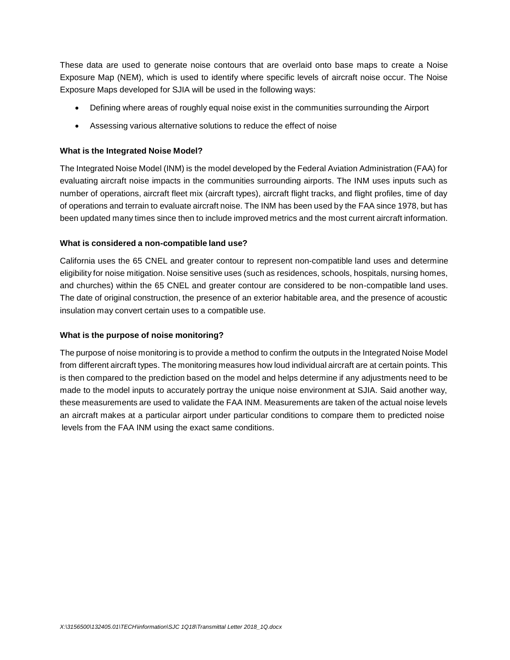These data are used to generate noise contours that are overlaid onto base maps to create a Noise Exposure Map (NEM), which is used to identify where specific levels of aircraft noise occur. The Noise Exposure Maps developed for SJIA will be used in the following ways:

- Defining where areas of roughly equal noise exist in the communities surrounding the Airport
- Assessing various alternative solutions to reduce the effect of noise

### **What is the Integrated Noise Model?**

The Integrated Noise Model (INM) is the model developed by the Federal Aviation Administration (FAA) for evaluating aircraft noise impacts in the communities surrounding airports. The INM uses inputs such as number of operations, aircraft fleet mix (aircraft types), aircraft flight tracks, and flight profiles, time of day of operations and terrain to evaluate aircraft noise. The INM has been used by the FAA since 1978, but has been updated many times since then to include improved metrics and the most current aircraft information.

### **What is considered a non-compatible land use?**

California uses the 65 CNEL and greater contour to represent non-compatible land uses and determine eligibility for noise mitigation. Noise sensitive uses (such as residences, schools, hospitals, nursing homes, and churches) within the 65 CNEL and greater contour are considered to be non-compatible land uses. The date of original construction, the presence of an exterior habitable area, and the presence of acoustic insulation may convert certain uses to a compatible use.

### **What is the purpose of noise monitoring?**

The purpose of noise monitoring is to provide a method to confirm the outputs in the Integrated Noise Model from different aircraft types. The monitoring measures how loud individual aircraft are at certain points. This is then compared to the prediction based on the model and helps determine if any adjustments need to be made to the model inputs to accurately portray the unique noise environment at SJIA. Said another way, these measurements are used to validate the FAA INM. Measurements are taken of the actual noise levels an aircraft makes at a particular airport under particular conditions to compare them to predicted noise levels from the FAA INM using the exact same conditions.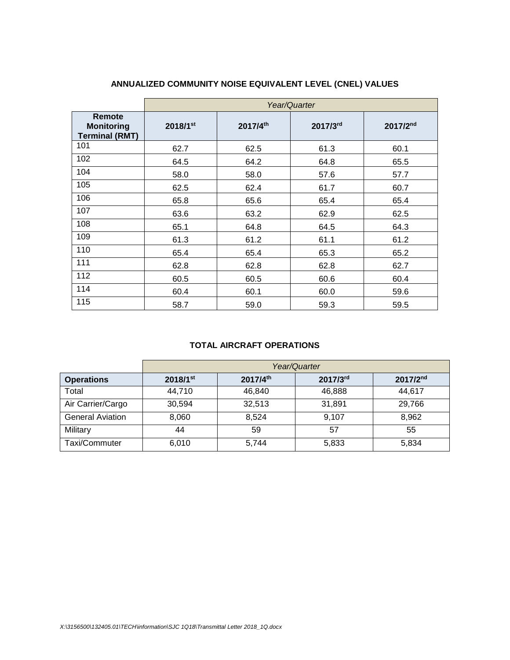|                                                      | Year/Quarter |          |          |          |  |  |  |  |  |  |  |  |
|------------------------------------------------------|--------------|----------|----------|----------|--|--|--|--|--|--|--|--|
| Remote<br><b>Monitoring</b><br><b>Terminal (RMT)</b> | 2018/1st     | 2017/4th | 2017/3rd | 2017/2nd |  |  |  |  |  |  |  |  |
| 101                                                  | 62.7         | 62.5     | 61.3     | 60.1     |  |  |  |  |  |  |  |  |
| 102                                                  | 64.5         | 64.2     | 64.8     | 65.5     |  |  |  |  |  |  |  |  |
| 104                                                  | 58.0         | 58.0     | 57.6     | 57.7     |  |  |  |  |  |  |  |  |
| 105                                                  | 62.5         | 62.4     | 61.7     | 60.7     |  |  |  |  |  |  |  |  |
| 106                                                  | 65.8         | 65.6     | 65.4     | 65.4     |  |  |  |  |  |  |  |  |
| 107                                                  | 63.6         | 63.2     | 62.9     | 62.5     |  |  |  |  |  |  |  |  |
| 108                                                  | 65.1         | 64.8     | 64.5     | 64.3     |  |  |  |  |  |  |  |  |
| 109                                                  | 61.3         | 61.2     | 61.1     | 61.2     |  |  |  |  |  |  |  |  |
| 110                                                  | 65.4         | 65.4     | 65.3     | 65.2     |  |  |  |  |  |  |  |  |
| 111                                                  | 62.8         | 62.8     | 62.8     | 62.7     |  |  |  |  |  |  |  |  |
| 112                                                  | 60.5         | 60.5     | 60.6     | 60.4     |  |  |  |  |  |  |  |  |
| 114                                                  | 60.4         | 60.1     | 60.0     | 59.6     |  |  |  |  |  |  |  |  |
| 115                                                  | 58.7         | 59.0     | 59.3     | 59.5     |  |  |  |  |  |  |  |  |

# **ANNUALIZED COMMUNITY NOISE EQUIVALENT LEVEL (CNEL) VALUES**

### **TOTAL AIRCRAFT OPERATIONS**

|                         | Year/Quarter           |          |          |                      |  |  |  |  |  |  |  |  |
|-------------------------|------------------------|----------|----------|----------------------|--|--|--|--|--|--|--|--|
| <b>Operations</b>       | $2018/1$ <sup>st</sup> | 2017/4th | 2017/3rd | 2017/2 <sup>nd</sup> |  |  |  |  |  |  |  |  |
| Total                   | 44,710                 | 46,840   | 46,888   | 44.617               |  |  |  |  |  |  |  |  |
| Air Carrier/Cargo       | 30,594                 | 32,513   | 31,891   | 29,766               |  |  |  |  |  |  |  |  |
| <b>General Aviation</b> | 8,060                  | 8.524    | 9,107    | 8.962                |  |  |  |  |  |  |  |  |
| Military                | 44                     | 59       | 57       | 55                   |  |  |  |  |  |  |  |  |
| Taxi/Commuter           | 6,010                  | 5,744    | 5,833    | 5,834                |  |  |  |  |  |  |  |  |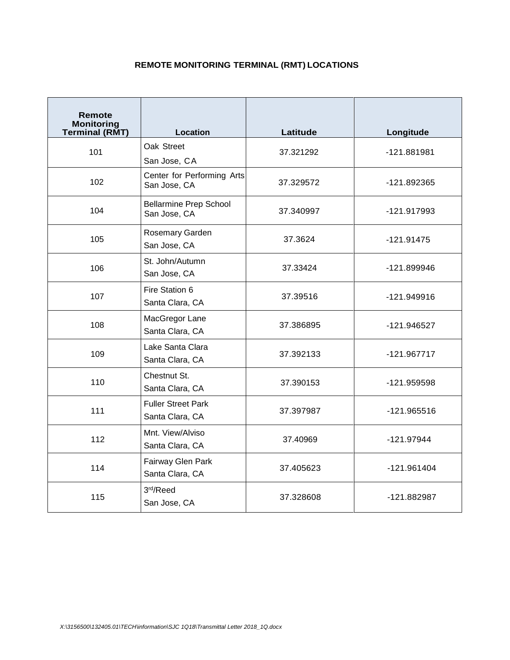# **REMOTE MONITORING TERMINAL (RMT) LOCATIONS**

| <b>Remote</b><br><b>Monitoring</b><br><b>Terminal (RMT)</b> | Location                                      | Latitude  | Longitude     |  |  |
|-------------------------------------------------------------|-----------------------------------------------|-----------|---------------|--|--|
| 101                                                         | Oak Street<br>San Jose, CA                    | 37.321292 | -121.881981   |  |  |
| 102                                                         | Center for Performing Arts<br>San Jose, CA    | 37.329572 | -121.892365   |  |  |
| 104                                                         | <b>Bellarmine Prep School</b><br>San Jose, CA | 37.340997 | -121.917993   |  |  |
| 105                                                         | Rosemary Garden<br>San Jose, CA               | 37.3624   | $-121.91475$  |  |  |
| 106                                                         | St. John/Autumn<br>San Jose, CA               | 37.33424  | -121.899946   |  |  |
| 107                                                         | Fire Station 6<br>Santa Clara, CA             | 37.39516  | -121.949916   |  |  |
| 108                                                         | MacGregor Lane<br>Santa Clara, CA             | 37.386895 | -121.946527   |  |  |
| 109                                                         | Lake Santa Clara<br>Santa Clara, CA           | 37.392133 | $-121.967717$ |  |  |
| 110                                                         | Chestnut St.<br>Santa Clara, CA               | 37.390153 | -121.959598   |  |  |
| 111                                                         | <b>Fuller Street Park</b><br>Santa Clara, CA  | 37.397987 | $-121.965516$ |  |  |
| 112                                                         | Mnt. View/Alviso<br>Santa Clara, CA           | 37.40969  | $-121.97944$  |  |  |
| 114                                                         | Fairway Glen Park<br>Santa Clara, CA          | 37.405623 | $-121.961404$ |  |  |
| 115                                                         | 3rd/Reed<br>San Jose, CA                      | 37.328608 | -121.882987   |  |  |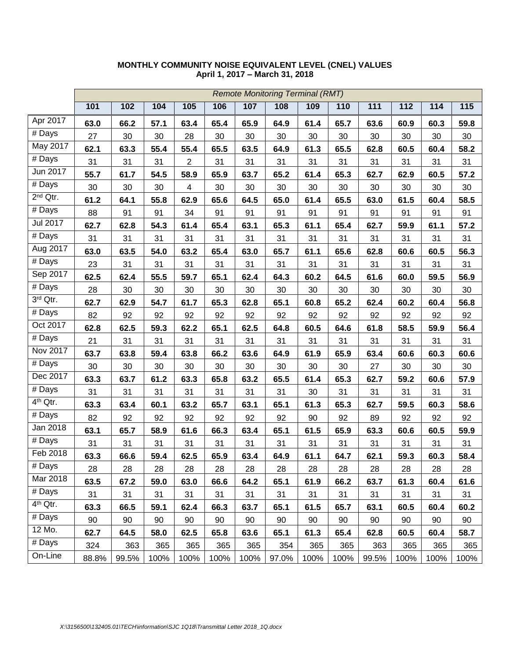|                      |       |       |      |                |      |      | <b>Remote Monitoring Terminal (RMT)</b> |      |      |       |      |      |      |
|----------------------|-------|-------|------|----------------|------|------|-----------------------------------------|------|------|-------|------|------|------|
|                      | 101   | 102   | 104  | 105            | 106  | 107  | 108                                     | 109  | 110  | 111   | 112  | 114  | 115  |
| Apr 2017             | 63.0  | 66.2  | 57.1 | 63.4           | 65.4 | 65.9 | 64.9                                    | 61.4 | 65.7 | 63.6  | 60.9 | 60.3 | 59.8 |
| # Days               | 27    | 30    | 30   | 28             | 30   | 30   | 30                                      | 30   | 30   | 30    | 30   | 30   | 30   |
| May 2017             | 62.1  | 63.3  | 55.4 | 55.4           | 65.5 | 63.5 | 64.9                                    | 61.3 | 65.5 | 62.8  | 60.5 | 60.4 | 58.2 |
| # Days               | 31    | 31    | 31   | $\overline{2}$ | 31   | 31   | 31                                      | 31   | 31   | 31    | 31   | 31   | 31   |
| Jun 2017             | 55.7  | 61.7  | 54.5 | 58.9           | 65.9 | 63.7 | 65.2                                    | 61.4 | 65.3 | 62.7  | 62.9 | 60.5 | 57.2 |
| $#$ Days             | 30    | 30    | 30   | $\overline{4}$ | 30   | 30   | 30                                      | 30   | 30   | 30    | 30   | 30   | 30   |
| $2nd$ Qtr.           | 61.2  | 64.1  | 55.8 | 62.9           | 65.6 | 64.5 | 65.0                                    | 61.4 | 65.5 | 63.0  | 61.5 | 60.4 | 58.5 |
| $#$ Days             | 88    | 91    | 91   | 34             | 91   | 91   | 91                                      | 91   | 91   | 91    | 91   | 91   | 91   |
| Jul 2017             | 62.7  | 62.8  | 54.3 | 61.4           | 65.4 | 63.1 | 65.3                                    | 61.1 | 65.4 | 62.7  | 59.9 | 61.1 | 57.2 |
| $#$ Days             | 31    | 31    | 31   | 31             | 31   | 31   | 31                                      | 31   | 31   | 31    | 31   | 31   | 31   |
| Aug 2017             | 63.0  | 63.5  | 54.0 | 63.2           | 65.4 | 63.0 | 65.7                                    | 61.1 | 65.6 | 62.8  | 60.6 | 60.5 | 56.3 |
| $\overline{\#}$ Days | 23    | 31    | 31   | 31             | 31   | 31   | 31                                      | 31   | 31   | 31    | 31   | 31   | 31   |
| Sep 2017             | 62.5  | 62.4  | 55.5 | 59.7           | 65.1 | 62.4 | 64.3                                    | 60.2 | 64.5 | 61.6  | 60.0 | 59.5 | 56.9 |
| $\overline{\#}$ Days | 28    | 30    | 30   | 30             | 30   | 30   | 30                                      | 30   | 30   | 30    | 30   | 30   | 30   |
| 3rd Qtr.             | 62.7  | 62.9  | 54.7 | 61.7           | 65.3 | 62.8 | 65.1                                    | 60.8 | 65.2 | 62.4  | 60.2 | 60.4 | 56.8 |
| # Days               | 82    | 92    | 92   | 92             | 92   | 92   | 92                                      | 92   | 92   | 92    | 92   | 92   | 92   |
| Oct 2017             | 62.8  | 62.5  | 59.3 | 62.2           | 65.1 | 62.5 | 64.8                                    | 60.5 | 64.6 | 61.8  | 58.5 | 59.9 | 56.4 |
| # Days               | 21    | 31    | 31   | 31             | 31   | 31   | 31                                      | 31   | 31   | 31    | 31   | 31   | 31   |
| Nov 2017             | 63.7  | 63.8  | 59.4 | 63.8           | 66.2 | 63.6 | 64.9                                    | 61.9 | 65.9 | 63.4  | 60.6 | 60.3 | 60.6 |
| # Days               | 30    | 30    | 30   | 30             | 30   | 30   | 30                                      | 30   | 30   | 27    | 30   | 30   | 30   |
| Dec 2017             | 63.3  | 63.7  | 61.2 | 63.3           | 65.8 | 63.2 | 65.5                                    | 61.4 | 65.3 | 62.7  | 59.2 | 60.6 | 57.9 |
| # Days               | 31    | 31    | 31   | 31             | 31   | 31   | 31                                      | 30   | 31   | 31    | 31   | 31   | 31   |
| 4 <sup>th</sup> Qtr. | 63.3  | 63.4  | 60.1 | 63.2           | 65.7 | 63.1 | 65.1                                    | 61.3 | 65.3 | 62.7  | 59.5 | 60.3 | 58.6 |
| # Days               | 82    | 92    | 92   | 92             | 92   | 92   | 92                                      | 90   | 92   | 89    | 92   | 92   | 92   |
| Jan 2018             | 63.1  | 65.7  | 58.9 | 61.6           | 66.3 | 63.4 | 65.1                                    | 61.5 | 65.9 | 63.3  | 60.6 | 60.5 | 59.9 |
| $\overline{\#}$ Days | 31    | 31    | 31   | 31             | 31   | 31   | 31                                      | 31   | 31   | 31    | 31   | 31   | 31   |
| Feb 2018             | 63.3  | 66.6  | 59.4 | 62.5           | 65.9 | 63.4 | 64.9                                    | 61.1 | 64.7 | 62.1  | 59.3 | 60.3 | 58.4 |
| # Days               | 28    | 28    | 28   | 28             | 28   | 28   | 28                                      | 28   | 28   | 28    | 28   | 28   | 28   |
| Mar 2018             | 63.5  | 67.2  | 59.0 | 63.0           | 66.6 | 64.2 | 65.1                                    | 61.9 | 66.2 | 63.7  | 61.3 | 60.4 | 61.6 |
| # Days               | 31    | 31    | 31   | 31             | 31   | 31   | 31                                      | 31   | 31   | 31    | 31   | 31   | 31   |
| 4 <sup>th</sup> Qtr. | 63.3  | 66.5  | 59.1 | 62.4           | 66.3 | 63.7 | 65.1                                    | 61.5 | 65.7 | 63.1  | 60.5 | 60.4 | 60.2 |
| # Days               | 90    | 90    | 90   | 90             | 90   | 90   | 90                                      | 90   | 90   | 90    | 90   | 90   | 90   |
| 12 Mo.               | 62.7  | 64.5  | 58.0 | 62.5           | 65.8 | 63.6 | 65.1                                    | 61.3 | 65.4 | 62.8  | 60.5 | 60.4 | 58.7 |
| # Days               | 324   | 363   | 365  | 365            | 365  | 365  | 354                                     | 365  | 365  | 363   | 365  | 365  | 365  |
| On-Line              | 88.8% | 99.5% | 100% | 100%           | 100% | 100% | 97.0%                                   | 100% | 100% | 99.5% | 100% | 100% | 100% |

### **MONTHLY COMMUNITY NOISE EQUIVALENT LEVEL (CNEL) VALUES April 1, 2017 – March 31, 2018**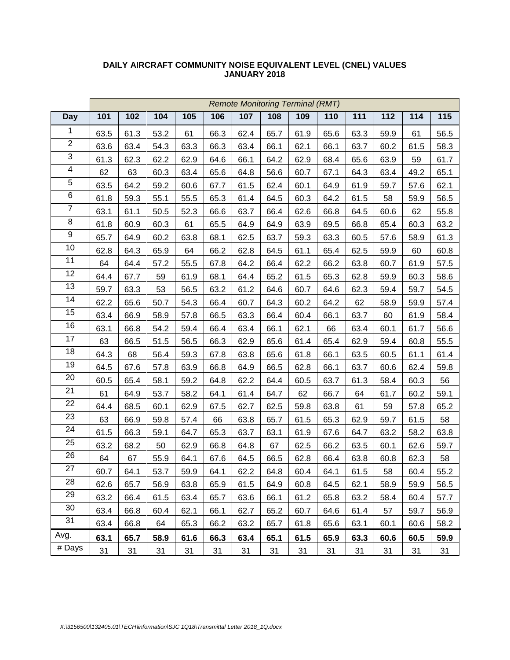|                         | <b>Remote Monitoring Terminal (RMT)</b> |      |      |      |      |      |      |      |      |      |      |      |      |
|-------------------------|-----------------------------------------|------|------|------|------|------|------|------|------|------|------|------|------|
| <b>Day</b>              | 101                                     | 102  | 104  | 105  | 106  | 107  | 108  | 109  | 110  | 111  | 112  | 114  | 115  |
| 1                       | 63.5                                    | 61.3 | 53.2 | 61   | 66.3 | 62.4 | 65.7 | 61.9 | 65.6 | 63.3 | 59.9 | 61   | 56.5 |
| $\overline{2}$          | 63.6                                    | 63.4 | 54.3 | 63.3 | 66.3 | 63.4 | 66.1 | 62.1 | 66.1 | 63.7 | 60.2 | 61.5 | 58.3 |
| 3                       | 61.3                                    | 62.3 | 62.2 | 62.9 | 64.6 | 66.1 | 64.2 | 62.9 | 68.4 | 65.6 | 63.9 | 59   | 61.7 |
| $\overline{\mathbf{4}}$ | 62                                      | 63   | 60.3 | 63.4 | 65.6 | 64.8 | 56.6 | 60.7 | 67.1 | 64.3 | 63.4 | 49.2 | 65.1 |
| $\overline{5}$          | 63.5                                    | 64.2 | 59.2 | 60.6 | 67.7 | 61.5 | 62.4 | 60.1 | 64.9 | 61.9 | 59.7 | 57.6 | 62.1 |
| 6                       | 61.8                                    | 59.3 | 55.1 | 55.5 | 65.3 | 61.4 | 64.5 | 60.3 | 64.2 | 61.5 | 58   | 59.9 | 56.5 |
| $\overline{7}$          | 63.1                                    | 61.1 | 50.5 | 52.3 | 66.6 | 63.7 | 66.4 | 62.6 | 66.8 | 64.5 | 60.6 | 62   | 55.8 |
| 8                       | 61.8                                    | 60.9 | 60.3 | 61   | 65.5 | 64.9 | 64.9 | 63.9 | 69.5 | 66.8 | 65.4 | 60.3 | 63.2 |
| $\boldsymbol{9}$        | 65.7                                    | 64.9 | 60.2 | 63.8 | 68.1 | 62.5 | 63.7 | 59.3 | 63.3 | 60.5 | 57.6 | 58.9 | 61.3 |
| 10                      | 62.8                                    | 64.3 | 65.9 | 64   | 66.2 | 62.8 | 64.5 | 61.1 | 65.4 | 62.5 | 59.9 | 60   | 60.8 |
| 11                      | 64                                      | 64.4 | 57.2 | 55.5 | 67.8 | 64.2 | 66.4 | 62.2 | 66.2 | 63.8 | 60.7 | 61.9 | 57.5 |
| 12                      | 64.4                                    | 67.7 | 59   | 61.9 | 68.1 | 64.4 | 65.2 | 61.5 | 65.3 | 62.8 | 59.9 | 60.3 | 58.6 |
| 13                      | 59.7                                    | 63.3 | 53   | 56.5 | 63.2 | 61.2 | 64.6 | 60.7 | 64.6 | 62.3 | 59.4 | 59.7 | 54.5 |
| 14                      | 62.2                                    | 65.6 | 50.7 | 54.3 | 66.4 | 60.7 | 64.3 | 60.2 | 64.2 | 62   | 58.9 | 59.9 | 57.4 |
| 15                      | 63.4                                    | 66.9 | 58.9 | 57.8 | 66.5 | 63.3 | 66.4 | 60.4 | 66.1 | 63.7 | 60   | 61.9 | 58.4 |
| 16                      | 63.1                                    | 66.8 | 54.2 | 59.4 | 66.4 | 63.4 | 66.1 | 62.1 | 66   | 63.4 | 60.1 | 61.7 | 56.6 |
| 17                      | 63                                      | 66.5 | 51.5 | 56.5 | 66.3 | 62.9 | 65.6 | 61.4 | 65.4 | 62.9 | 59.4 | 60.8 | 55.5 |
| 18                      | 64.3                                    | 68   | 56.4 | 59.3 | 67.8 | 63.8 | 65.6 | 61.8 | 66.1 | 63.5 | 60.5 | 61.1 | 61.4 |
| 19                      | 64.5                                    | 67.6 | 57.8 | 63.9 | 66.8 | 64.9 | 66.5 | 62.8 | 66.1 | 63.7 | 60.6 | 62.4 | 59.8 |
| 20                      | 60.5                                    | 65.4 | 58.1 | 59.2 | 64.8 | 62.2 | 64.4 | 60.5 | 63.7 | 61.3 | 58.4 | 60.3 | 56   |
| 21                      | 61                                      | 64.9 | 53.7 | 58.2 | 64.1 | 61.4 | 64.7 | 62   | 66.7 | 64   | 61.7 | 60.2 | 59.1 |
| 22                      | 64.4                                    | 68.5 | 60.1 | 62.9 | 67.5 | 62.7 | 62.5 | 59.8 | 63.8 | 61   | 59   | 57.8 | 65.2 |
| 23                      | 63                                      | 66.9 | 59.8 | 57.4 | 66   | 63.8 | 65.7 | 61.5 | 65.3 | 62.9 | 59.7 | 61.5 | 58   |
| 24                      | 61.5                                    | 66.3 | 59.1 | 64.7 | 65.3 | 63.7 | 63.1 | 61.9 | 67.6 | 64.7 | 63.2 | 58.2 | 63.8 |
| $\overline{25}$         | 63.2                                    | 68.2 | 50   | 62.9 | 66.8 | 64.8 | 67   | 62.5 | 66.2 | 63.5 | 60.1 | 62.6 | 59.7 |
| 26                      | 64                                      | 67   | 55.9 | 64.1 | 67.6 | 64.5 | 66.5 | 62.8 | 66.4 | 63.8 | 60.8 | 62.3 | 58   |
| 27                      | 60.7                                    | 64.1 | 53.7 | 59.9 | 64.1 | 62.2 | 64.8 | 60.4 | 64.1 | 61.5 | 58   | 60.4 | 55.2 |
| 28                      | 62.6                                    | 65.7 | 56.9 | 63.8 | 65.9 | 61.5 | 64.9 | 60.8 | 64.5 | 62.1 | 58.9 | 59.9 | 56.5 |
| 29                      | 63.2                                    | 66.4 | 61.5 | 63.4 | 65.7 | 63.6 | 66.1 | 61.2 | 65.8 | 63.2 | 58.4 | 60.4 | 57.7 |
| 30                      | 63.4                                    | 66.8 | 60.4 | 62.1 | 66.1 | 62.7 | 65.2 | 60.7 | 64.6 | 61.4 | 57   | 59.7 | 56.9 |
| 31                      | 63.4                                    | 66.8 | 64   | 65.3 | 66.2 | 63.2 | 65.7 | 61.8 | 65.6 | 63.1 | 60.1 | 60.6 | 58.2 |
| Avg.                    | 63.1                                    | 65.7 | 58.9 | 61.6 | 66.3 | 63.4 | 65.1 | 61.5 | 65.9 | 63.3 | 60.6 | 60.5 | 59.9 |
| # Days                  | 31                                      | 31   | 31   | 31   | 31   | 31   | 31   | 31   | 31   | 31   | 31   | 31   | 31   |

#### **DAILY AIRCRAFT COMMUNITY NOISE EQUIVALENT LEVEL (CNEL) VALUES JANUARY 2018**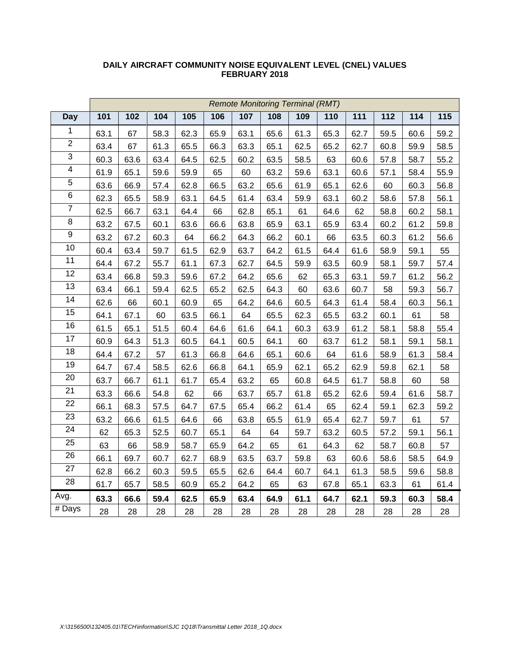|                 | <b>Remote Monitoring Terminal (RMT)</b> |      |      |      |      |      |      |      |                  |                  |                  |      |      |
|-----------------|-----------------------------------------|------|------|------|------|------|------|------|------------------|------------------|------------------|------|------|
| <b>Day</b>      | 101                                     | 102  | 104  | 105  | 106  | 107  | 108  | 109  | $\overline{110}$ | $\overline{111}$ | $\overline{112}$ | 114  | 115  |
| 1               | 63.1                                    | 67   | 58.3 | 62.3 | 65.9 | 63.1 | 65.6 | 61.3 | 65.3             | 62.7             | 59.5             | 60.6 | 59.2 |
| $\overline{2}$  | 63.4                                    | 67   | 61.3 | 65.5 | 66.3 | 63.3 | 65.1 | 62.5 | 65.2             | 62.7             | 60.8             | 59.9 | 58.5 |
| 3               | 60.3                                    | 63.6 | 63.4 | 64.5 | 62.5 | 60.2 | 63.5 | 58.5 | 63               | 60.6             | 57.8             | 58.7 | 55.2 |
| $\overline{4}$  | 61.9                                    | 65.1 | 59.6 | 59.9 | 65   | 60   | 63.2 | 59.6 | 63.1             | 60.6             | 57.1             | 58.4 | 55.9 |
| $\overline{5}$  | 63.6                                    | 66.9 | 57.4 | 62.8 | 66.5 | 63.2 | 65.6 | 61.9 | 65.1             | 62.6             | 60               | 60.3 | 56.8 |
| 6               | 62.3                                    | 65.5 | 58.9 | 63.1 | 64.5 | 61.4 | 63.4 | 59.9 | 63.1             | 60.2             | 58.6             | 57.8 | 56.1 |
| $\overline{7}$  | 62.5                                    | 66.7 | 63.1 | 64.4 | 66   | 62.8 | 65.1 | 61   | 64.6             | 62               | 58.8             | 60.2 | 58.1 |
| $\overline{8}$  | 63.2                                    | 67.5 | 60.1 | 63.6 | 66.6 | 63.8 | 65.9 | 63.1 | 65.9             | 63.4             | 60.2             | 61.2 | 59.8 |
| 9               | 63.2                                    | 67.2 | 60.3 | 64   | 66.2 | 64.3 | 66.2 | 60.1 | 66               | 63.5             | 60.3             | 61.2 | 56.6 |
| 10              | 60.4                                    | 63.4 | 59.7 | 61.5 | 62.9 | 63.7 | 64.2 | 61.5 | 64.4             | 61.6             | 58.9             | 59.1 | 55   |
| 11              | 64.4                                    | 67.2 | 55.7 | 61.1 | 67.3 | 62.7 | 64.5 | 59.9 | 63.5             | 60.9             | 58.1             | 59.7 | 57.4 |
| 12              | 63.4                                    | 66.8 | 59.3 | 59.6 | 67.2 | 64.2 | 65.6 | 62   | 65.3             | 63.1             | 59.7             | 61.2 | 56.2 |
| $\overline{13}$ | 63.4                                    | 66.1 | 59.4 | 62.5 | 65.2 | 62.5 | 64.3 | 60   | 63.6             | 60.7             | 58               | 59.3 | 56.7 |
| 14              | 62.6                                    | 66   | 60.1 | 60.9 | 65   | 64.2 | 64.6 | 60.5 | 64.3             | 61.4             | 58.4             | 60.3 | 56.1 |
| 15              | 64.1                                    | 67.1 | 60   | 63.5 | 66.1 | 64   | 65.5 | 62.3 | 65.5             | 63.2             | 60.1             | 61   | 58   |
| 16              | 61.5                                    | 65.1 | 51.5 | 60.4 | 64.6 | 61.6 | 64.1 | 60.3 | 63.9             | 61.2             | 58.1             | 58.8 | 55.4 |
| 17              | 60.9                                    | 64.3 | 51.3 | 60.5 | 64.1 | 60.5 | 64.1 | 60   | 63.7             | 61.2             | 58.1             | 59.1 | 58.1 |
| 18              | 64.4                                    | 67.2 | 57   | 61.3 | 66.8 | 64.6 | 65.1 | 60.6 | 64               | 61.6             | 58.9             | 61.3 | 58.4 |
| 19              | 64.7                                    | 67.4 | 58.5 | 62.6 | 66.8 | 64.1 | 65.9 | 62.1 | 65.2             | 62.9             | 59.8             | 62.1 | 58   |
| $\overline{20}$ | 63.7                                    | 66.7 | 61.1 | 61.7 | 65.4 | 63.2 | 65   | 60.8 | 64.5             | 61.7             | 58.8             | 60   | 58   |
| 21              | 63.3                                    | 66.6 | 54.8 | 62   | 66   | 63.7 | 65.7 | 61.8 | 65.2             | 62.6             | 59.4             | 61.6 | 58.7 |
| 22              | 66.1                                    | 68.3 | 57.5 | 64.7 | 67.5 | 65.4 | 66.2 | 61.4 | 65               | 62.4             | 59.1             | 62.3 | 59.2 |
| 23              | 63.2                                    | 66.6 | 61.5 | 64.6 | 66   | 63.8 | 65.5 | 61.9 | 65.4             | 62.7             | 59.7             | 61   | 57   |
| 24              | 62                                      | 65.3 | 52.5 | 60.7 | 65.1 | 64   | 64   | 59.7 | 63.2             | 60.5             | 57.2             | 59.1 | 56.1 |
| $\overline{25}$ | 63                                      | 66   | 58.9 | 58.7 | 65.9 | 64.2 | 65   | 61   | 64.3             | 62               | 58.7             | 60.8 | 57   |
| 26              | 66.1                                    | 69.7 | 60.7 | 62.7 | 68.9 | 63.5 | 63.7 | 59.8 | 63               | 60.6             | 58.6             | 58.5 | 64.9 |
| 27              | 62.8                                    | 66.2 | 60.3 | 59.5 | 65.5 | 62.6 | 64.4 | 60.7 | 64.1             | 61.3             | 58.5             | 59.6 | 58.8 |
| $\overline{28}$ | 61.7                                    | 65.7 | 58.5 | 60.9 | 65.2 | 64.2 | 65   | 63   | 67.8             | 65.1             | 63.3             | 61   | 61.4 |
| Avg.            | 63.3                                    | 66.6 | 59.4 | 62.5 | 65.9 | 63.4 | 64.9 | 61.1 | 64.7             | 62.1             | 59.3             | 60.3 | 58.4 |
| $#$ Days        | 28                                      | 28   | 28   | 28   | 28   | 28   | 28   | 28   | 28               | 28               | 28               | 28   | 28   |

#### **DAILY AIRCRAFT COMMUNITY NOISE EQUIVALENT LEVEL (CNEL) VALUES FEBRUARY 2018**